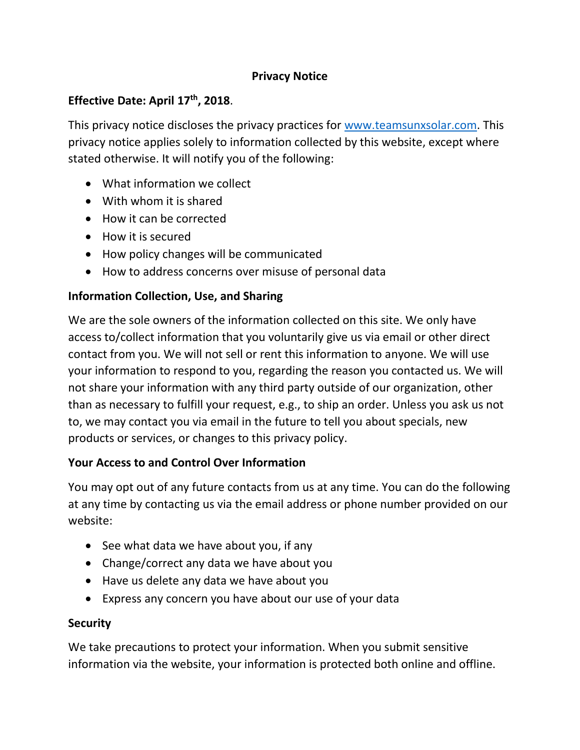#### **Privacy Notice**

## **Effective Date: April 17th, 2018**.

This privacy notice discloses the privacy practices for [www.teamsunxsolar.com.](http://www.teamsunxsolar.com/) This privacy notice applies solely to information collected by this website, except where stated otherwise. It will notify you of the following:

- What information we collect
- With whom it is shared
- How it can be corrected
- How it is secured
- How policy changes will be communicated
- How to address concerns over misuse of personal data

# **Information Collection, Use, and Sharing**

We are the sole owners of the information collected on this site. We only have access to/collect information that you voluntarily give us via email or other direct contact from you. We will not sell or rent this information to anyone. We will use your information to respond to you, regarding the reason you contacted us. We will not share your information with any third party outside of our organization, other than as necessary to fulfill your request, e.g., to ship an order. Unless you ask us not to, we may contact you via email in the future to tell you about specials, new products or services, or changes to this privacy policy.

# **Your Access to and Control Over Information**

You may opt out of any future contacts from us at any time. You can do the following at any time by contacting us via the email address or phone number provided on our website:

- See what data we have about you, if any
- Change/correct any data we have about you
- Have us delete any data we have about you
- Express any concern you have about our use of your data

# **Security**

We take precautions to protect your information. When you submit sensitive information via the website, your information is protected both online and offline.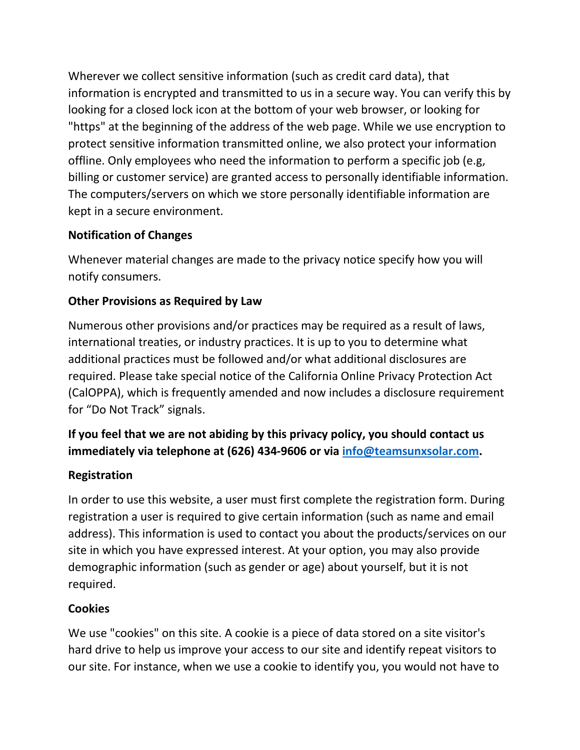Wherever we collect sensitive information (such as credit card data), that information is encrypted and transmitted to us in a secure way. You can verify this by looking for a closed lock icon at the bottom of your web browser, or looking for "https" at the beginning of the address of the web page. While we use encryption to protect sensitive information transmitted online, we also protect your information offline. Only employees who need the information to perform a specific job (e.g, billing or customer service) are granted access to personally identifiable information. The computers/servers on which we store personally identifiable information are kept in a secure environment.

## **Notification of Changes**

Whenever material changes are made to the privacy notice specify how you will notify consumers.

## **Other Provisions as Required by Law**

Numerous other provisions and/or practices may be required as a result of laws, international treaties, or industry practices. It is up to you to determine what additional practices must be followed and/or what additional disclosures are required. Please take special notice of the California Online Privacy Protection Act (CalOPPA), which is frequently amended and now includes a disclosure requirement for "Do Not Track" signals.

# **If you feel that we are not abiding by this privacy policy, you should contact us immediately via telephone at (626) 434-9606 or via [info@teamsunxsolar.com.](mailto:info@teamsunxsolar.com)**

#### **Registration**

In order to use this website, a user must first complete the registration form. During registration a user is required to give certain information (such as name and email address). This information is used to contact you about the products/services on our site in which you have expressed interest. At your option, you may also provide demographic information (such as gender or age) about yourself, but it is not required.

#### **Cookies**

We use "cookies" on this site. A cookie is a piece of data stored on a site visitor's hard drive to help us improve your access to our site and identify repeat visitors to our site. For instance, when we use a cookie to identify you, you would not have to